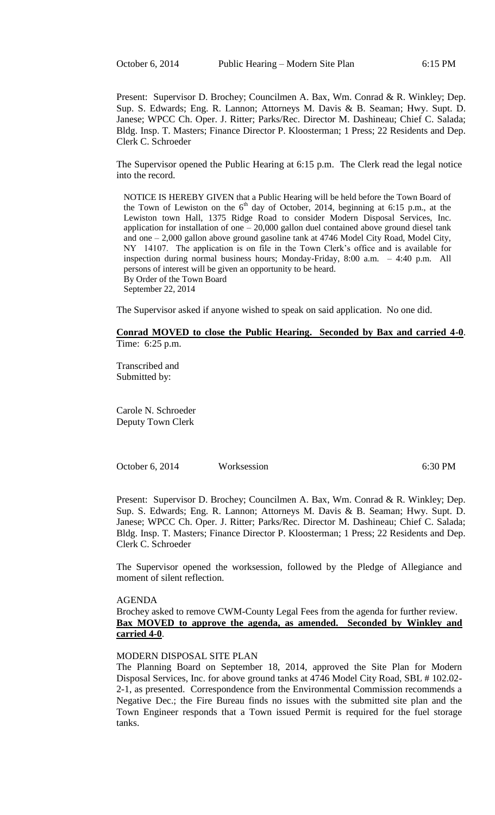Present: Supervisor D. Brochey; Councilmen A. Bax, Wm. Conrad & R. Winkley; Dep. Sup. S. Edwards; Eng. R. Lannon; Attorneys M. Davis & B. Seaman; Hwy. Supt. D. Janese; WPCC Ch. Oper. J. Ritter; Parks/Rec. Director M. Dashineau; Chief C. Salada; Bldg. Insp. T. Masters; Finance Director P. Kloosterman; 1 Press; 22 Residents and Dep. Clerk C. Schroeder

The Supervisor opened the Public Hearing at 6:15 p.m. The Clerk read the legal notice into the record.

NOTICE IS HEREBY GIVEN that a Public Hearing will be held before the Town Board of the Town of Lewiston on the  $6<sup>th</sup>$  day of October, 2014, beginning at 6:15 p.m., at the Lewiston town Hall, 1375 Ridge Road to consider Modern Disposal Services, Inc. application for installation of one  $-20,000$  gallon duel contained above ground diesel tank and one – 2,000 gallon above ground gasoline tank at 4746 Model City Road, Model City, NY 14107. The application is on file in the Town Clerk's office and is available for inspection during normal business hours; Monday-Friday, 8:00 a.m. – 4:40 p.m. All persons of interest will be given an opportunity to be heard. By Order of the Town Board September 22, 2014

The Supervisor asked if anyone wished to speak on said application. No one did.

#### **Conrad MOVED to close the Public Hearing. Seconded by Bax and carried 4-0**. Time: 6:25 p.m.

Transcribed and Submitted by:

Carole N. Schroeder Deputy Town Clerk

October 6, 2014 Worksession 6:30 PM

Present: Supervisor D. Brochey; Councilmen A. Bax, Wm. Conrad & R. Winkley; Dep. Sup. S. Edwards; Eng. R. Lannon; Attorneys M. Davis & B. Seaman; Hwy. Supt. D. Janese; WPCC Ch. Oper. J. Ritter; Parks/Rec. Director M. Dashineau; Chief C. Salada; Bldg. Insp. T. Masters; Finance Director P. Kloosterman; 1 Press; 22 Residents and Dep. Clerk C. Schroeder

The Supervisor opened the worksession, followed by the Pledge of Allegiance and moment of silent reflection.

#### AGENDA

Brochey asked to remove CWM-County Legal Fees from the agenda for further review. **Bax MOVED to approve the agenda, as amended. Seconded by Winkley and carried 4-0**.

## MODERN DISPOSAL SITE PLAN

The Planning Board on September 18, 2014, approved the Site Plan for Modern Disposal Services, Inc. for above ground tanks at 4746 Model City Road, SBL # 102.02- 2-1, as presented. Correspondence from the Environmental Commission recommends a Negative Dec.; the Fire Bureau finds no issues with the submitted site plan and the Town Engineer responds that a Town issued Permit is required for the fuel storage tanks.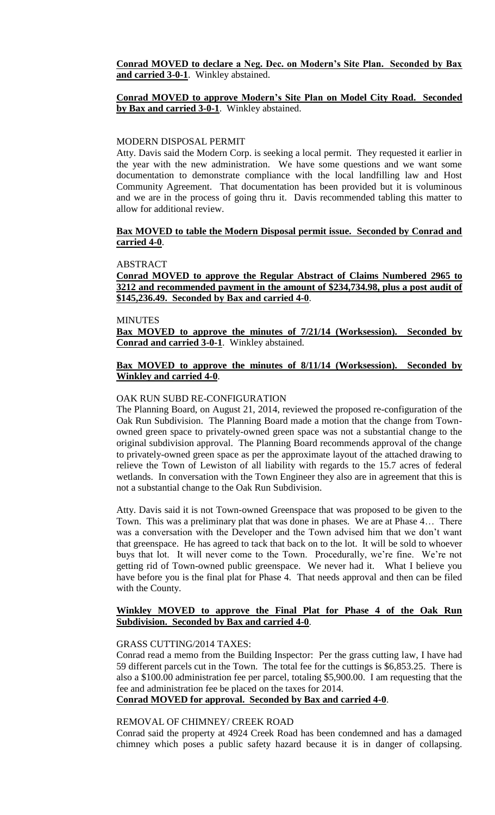**Conrad MOVED to declare a Neg. Dec. on Modern's Site Plan. Seconded by Bax and carried 3-0-1**. Winkley abstained.

### **Conrad MOVED to approve Modern's Site Plan on Model City Road. Seconded by Bax and carried 3-0-1**. Winkley abstained.

### MODERN DISPOSAL PERMIT

Atty. Davis said the Modern Corp. is seeking a local permit. They requested it earlier in the year with the new administration. We have some questions and we want some documentation to demonstrate compliance with the local landfilling law and Host Community Agreement. That documentation has been provided but it is voluminous and we are in the process of going thru it. Davis recommended tabling this matter to allow for additional review.

### **Bax MOVED to table the Modern Disposal permit issue. Seconded by Conrad and carried 4-0**.

#### ABSTRACT

**Conrad MOVED to approve the Regular Abstract of Claims Numbered 2965 to 3212 and recommended payment in the amount of \$234,734.98, plus a post audit of \$145,236.49. Seconded by Bax and carried 4-0**.

### MINUTES

**Bax MOVED to approve the minutes of 7/21/14 (Worksession). Seconded by Conrad and carried 3-0-1**. Winkley abstained.

## **Bax MOVED to approve the minutes of 8/11/14 (Worksession). Seconded by Winkley and carried 4-0**.

# OAK RUN SUBD RE-CONFIGURATION

The Planning Board, on August 21, 2014, reviewed the proposed re-configuration of the Oak Run Subdivision. The Planning Board made a motion that the change from Townowned green space to privately-owned green space was not a substantial change to the original subdivision approval. The Planning Board recommends approval of the change to privately-owned green space as per the approximate layout of the attached drawing to relieve the Town of Lewiston of all liability with regards to the 15.7 acres of federal wetlands. In conversation with the Town Engineer they also are in agreement that this is not a substantial change to the Oak Run Subdivision.

Atty. Davis said it is not Town-owned Greenspace that was proposed to be given to the Town. This was a preliminary plat that was done in phases. We are at Phase 4… There was a conversation with the Developer and the Town advised him that we don't want that greenspace. He has agreed to tack that back on to the lot. It will be sold to whoever buys that lot. It will never come to the Town. Procedurally, we're fine. We're not getting rid of Town-owned public greenspace. We never had it. What I believe you have before you is the final plat for Phase 4. That needs approval and then can be filed with the County.

## **Winkley MOVED to approve the Final Plat for Phase 4 of the Oak Run Subdivision. Seconded by Bax and carried 4-0**.

#### GRASS CUTTING/2014 TAXES:

Conrad read a memo from the Building Inspector: Per the grass cutting law, I have had 59 different parcels cut in the Town. The total fee for the cuttings is \$6,853.25. There is also a \$100.00 administration fee per parcel, totaling \$5,900.00. I am requesting that the fee and administration fee be placed on the taxes for 2014.

# **Conrad MOVED for approval. Seconded by Bax and carried 4-0**.

#### REMOVAL OF CHIMNEY/ CREEK ROAD

Conrad said the property at 4924 Creek Road has been condemned and has a damaged chimney which poses a public safety hazard because it is in danger of collapsing.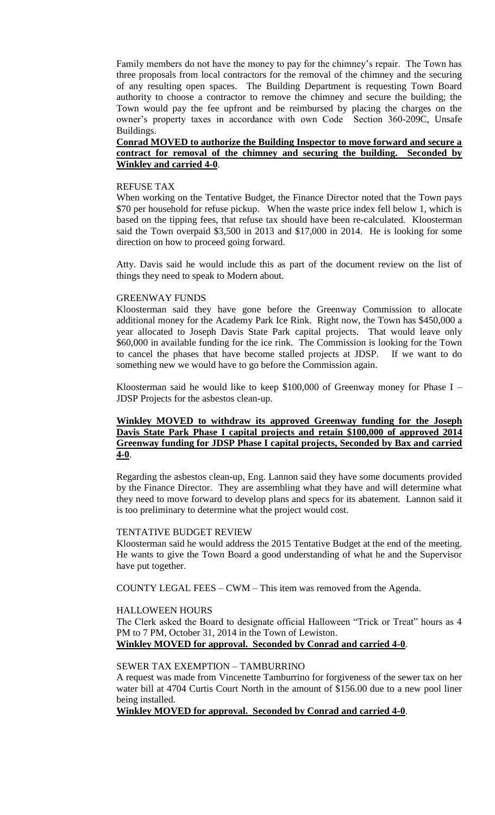Family members do not have the money to pay for the chimney's repair. The Town has three proposals from local contractors for the removal of the chimney and the securing of any resulting open spaces. The Building Department is requesting Town Board authority to choose a contractor to remove the chimney and secure the building; the Town would pay the fee upfront and be reimbursed by placing the charges on the owner's property taxes in accordance with own Code Section 360-209C, Unsafe Buildings.

## **Conrad MOVED to authorize the Building Inspector to move forward and secure a contract for removal of the chimney and securing the building. Seconded by Winkley and carried 4-0**.

#### REFUSE TAX

When working on the Tentative Budget, the Finance Director noted that the Town pays \$70 per household for refuse pickup. When the waste price index fell below 1, which is based on the tipping fees, that refuse tax should have been re-calculated. Kloosterman said the Town overpaid \$3,500 in 2013 and \$17,000 in 2014. He is looking for some direction on how to proceed going forward.

Atty. Davis said he would include this as part of the document review on the list of things they need to speak to Modern about.

### GREENWAY FUNDS

Kloosterman said they have gone before the Greenway Commission to allocate additional money for the Academy Park Ice Rink. Right now, the Town has \$450,000 a year allocated to Joseph Davis State Park capital projects. That would leave only \$60,000 in available funding for the ice rink. The Commission is looking for the Town to cancel the phases that have become stalled projects at JDSP. If we want to do something new we would have to go before the Commission again.

Kloosterman said he would like to keep \$100,000 of Greenway money for Phase I – JDSP Projects for the asbestos clean-up.

## **Winkley MOVED to withdraw its approved Greenway funding for the Joseph Davis State Park Phase I capital projects and retain \$100,000 of approved 2014 Greenway funding for JDSP Phase I capital projects, Seconded by Bax and carried 4-0**.

Regarding the asbestos clean-up, Eng. Lannon said they have some documents provided by the Finance Director. They are assembling what they have and will determine what they need to move forward to develop plans and specs for its abatement. Lannon said it is too preliminary to determine what the project would cost.

#### TENTATIVE BUDGET REVIEW

Kloosterman said he would address the 2015 Tentative Budget at the end of the meeting. He wants to give the Town Board a good understanding of what he and the Supervisor have put together.

COUNTY LEGAL FEES – CWM – This item was removed from the Agenda.

### HALLOWEEN HOURS

The Clerk asked the Board to designate official Halloween "Trick or Treat" hours as 4 PM to 7 PM, October 31, 2014 in the Town of Lewiston. **Winkley MOVED for approval. Seconded by Conrad and carried 4-0**.

### SEWER TAX EXEMPTION – TAMBURRINO

A request was made from Vincenette Tamburrino for forgiveness of the sewer tax on her water bill at 4704 Curtis Court North in the amount of \$156.00 due to a new pool liner being installed.

**Winkley MOVED for approval. Seconded by Conrad and carried 4-0**.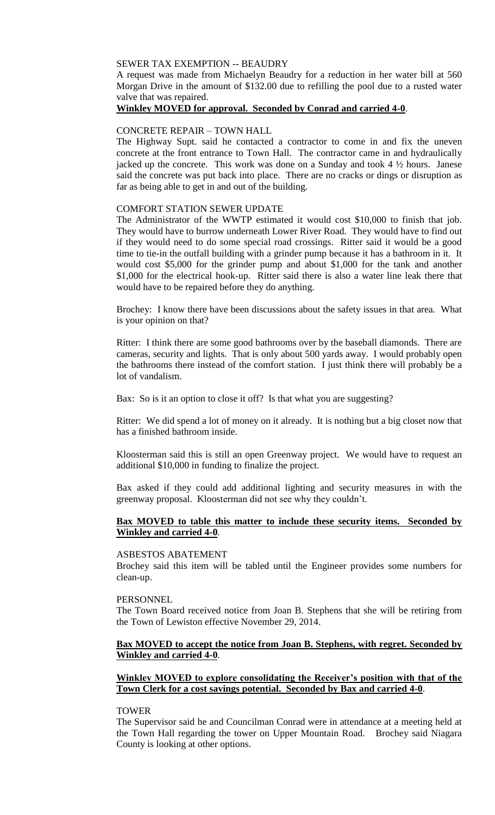### SEWER TAX EXEMPTION -- BEAUDRY

A request was made from Michaelyn Beaudry for a reduction in her water bill at 560 Morgan Drive in the amount of \$132.00 due to refilling the pool due to a rusted water valve that was repaired.

## **Winkley MOVED for approval. Seconded by Conrad and carried 4-0**.

### CONCRETE REPAIR – TOWN HALL

The Highway Supt. said he contacted a contractor to come in and fix the uneven concrete at the front entrance to Town Hall. The contractor came in and hydraulically jacked up the concrete. This work was done on a Sunday and took 4 ½ hours. Janese said the concrete was put back into place. There are no cracks or dings or disruption as far as being able to get in and out of the building.

### COMFORT STATION SEWER UPDATE

The Administrator of the WWTP estimated it would cost \$10,000 to finish that job. They would have to burrow underneath Lower River Road. They would have to find out if they would need to do some special road crossings. Ritter said it would be a good time to tie-in the outfall building with a grinder pump because it has a bathroom in it. It would cost \$5,000 for the grinder pump and about \$1,000 for the tank and another \$1,000 for the electrical hook-up. Ritter said there is also a water line leak there that would have to be repaired before they do anything.

Brochey: I know there have been discussions about the safety issues in that area. What is your opinion on that?

Ritter: I think there are some good bathrooms over by the baseball diamonds. There are cameras, security and lights. That is only about 500 yards away. I would probably open the bathrooms there instead of the comfort station. I just think there will probably be a lot of vandalism.

Bax: So is it an option to close it off? Is that what you are suggesting?

Ritter: We did spend a lot of money on it already. It is nothing but a big closet now that has a finished bathroom inside.

Kloosterman said this is still an open Greenway project. We would have to request an additional \$10,000 in funding to finalize the project.

Bax asked if they could add additional lighting and security measures in with the greenway proposal. Kloosterman did not see why they couldn't.

## **Bax MOVED to table this matter to include these security items. Seconded by Winkley and carried 4-0**.

#### ASBESTOS ABATEMENT

Brochey said this item will be tabled until the Engineer provides some numbers for clean-up.

### PERSONNEL

The Town Board received notice from Joan B. Stephens that she will be retiring from the Town of Lewiston effective November 29, 2014.

## **Bax MOVED to accept the notice from Joan B. Stephens, with regret. Seconded by Winkley and carried 4-0**.

## **Winkley MOVED to explore consolidating the Receiver's position with that of the Town Clerk for a cost savings potential. Seconded by Bax and carried 4-0**.

#### TOWER

The Supervisor said he and Councilman Conrad were in attendance at a meeting held at the Town Hall regarding the tower on Upper Mountain Road. Brochey said Niagara County is looking at other options.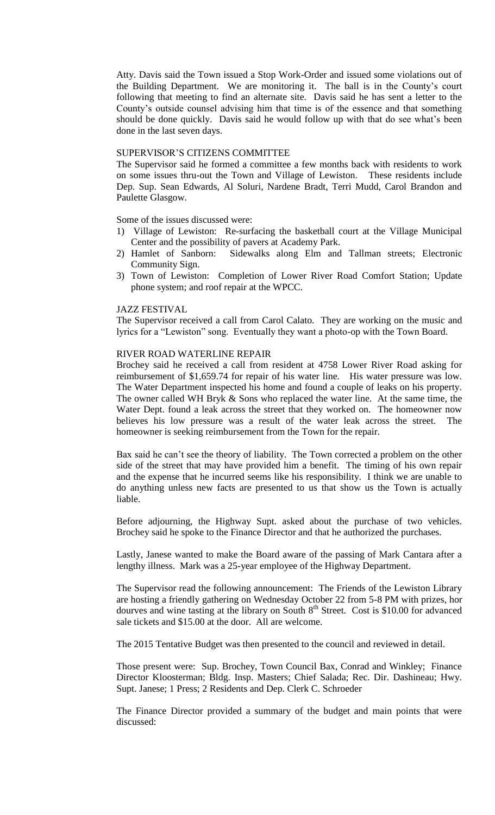Atty. Davis said the Town issued a Stop Work-Order and issued some violations out of the Building Department. We are monitoring it. The ball is in the County's court following that meeting to find an alternate site. Davis said he has sent a letter to the County's outside counsel advising him that time is of the essence and that something should be done quickly. Davis said he would follow up with that do see what's been done in the last seven days.

### SUPERVISOR'S CITIZENS COMMITTEE

The Supervisor said he formed a committee a few months back with residents to work on some issues thru-out the Town and Village of Lewiston. These residents include Dep. Sup. Sean Edwards, Al Soluri, Nardene Bradt, Terri Mudd, Carol Brandon and Paulette Glasgow.

Some of the issues discussed were:

- 1) Village of Lewiston: Re-surfacing the basketball court at the Village Municipal Center and the possibility of pavers at Academy Park.
- 2) Hamlet of Sanborn: Sidewalks along Elm and Tallman streets; Electronic Community Sign.
- 3) Town of Lewiston: Completion of Lower River Road Comfort Station; Update phone system; and roof repair at the WPCC.

#### JAZZ FESTIVAL

The Supervisor received a call from Carol Calato. They are working on the music and lyrics for a "Lewiston" song. Eventually they want a photo-op with the Town Board.

## RIVER ROAD WATERLINE REPAIR

Brochey said he received a call from resident at 4758 Lower River Road asking for reimbursement of \$1,659.74 for repair of his water line. His water pressure was low. The Water Department inspected his home and found a couple of leaks on his property. The owner called WH Bryk & Sons who replaced the water line. At the same time, the Water Dept. found a leak across the street that they worked on. The homeowner now believes his low pressure was a result of the water leak across the street. The homeowner is seeking reimbursement from the Town for the repair.

Bax said he can't see the theory of liability. The Town corrected a problem on the other side of the street that may have provided him a benefit. The timing of his own repair and the expense that he incurred seems like his responsibility. I think we are unable to do anything unless new facts are presented to us that show us the Town is actually liable.

Before adjourning, the Highway Supt. asked about the purchase of two vehicles. Brochey said he spoke to the Finance Director and that he authorized the purchases.

Lastly, Janese wanted to make the Board aware of the passing of Mark Cantara after a lengthy illness. Mark was a 25-year employee of the Highway Department.

The Supervisor read the following announcement: The Friends of the Lewiston Library are hosting a friendly gathering on Wednesday October 22 from 5-8 PM with prizes, hor dourves and wine tasting at the library on South  $8<sup>th</sup>$  Street. Cost is \$10.00 for advanced sale tickets and \$15.00 at the door. All are welcome.

The 2015 Tentative Budget was then presented to the council and reviewed in detail.

Those present were: Sup. Brochey, Town Council Bax, Conrad and Winkley; Finance Director Kloosterman; Bldg. Insp. Masters; Chief Salada; Rec. Dir. Dashineau; Hwy. Supt. Janese; 1 Press; 2 Residents and Dep. Clerk C. Schroeder

The Finance Director provided a summary of the budget and main points that were discussed: